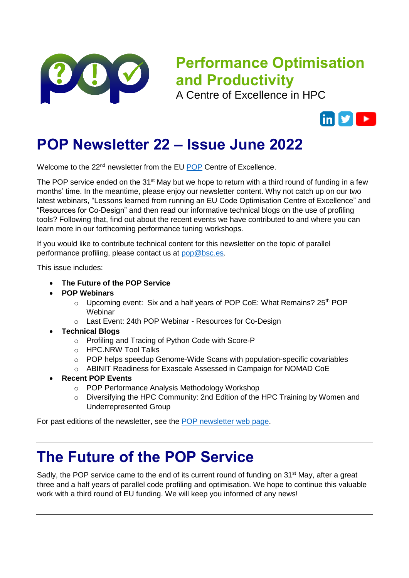

# **Performance Optimisation and Productivity**

A Centre of Excellence in HPC



## **POP Newsletter 22 – Issue June 2022**

Welcome to the 22<sup>nd</sup> newsletter from the EU [POP](https://pop-coe.eu/) Centre of Excellence.

The POP service ended on the 31 $\mathrm{st}$  May but we hope to return with a third round of funding in a few months' time. In the meantime, please enjoy our newsletter content. Why not catch up on our two latest webinars, "Lessons learned from running an EU Code Optimisation Centre of Excellence" and "Resources for Co-Design" and then read our informative technical blogs on the use of profiling tools? Following that, find out about the recent events we have contributed to and where you can learn more in our forthcoming performance tuning workshops.

If you would like to contribute technical content for this newsletter on the topic of parallel performance profiling, please contact us at [pop@bsc.es.](mailto:pop@bsc.es)

This issue includes:

- **The Future of the POP Service**
- **POP Webinars**
	- $\circ$  Upcoming event: Six and a half years of POP CoE: What Remains? 25<sup>th</sup> POP **Webinar**
	- o Last Event: 24th POP Webinar Resources for Co-Design
- **Technical Blogs**
	- o Profiling and Tracing of Python Code with Score-P
	- o HPC.NRW Tool Talks
	- o POP helps speedup Genome-Wide Scans with population-specific covariables
	- o ABINIT Readiness for Exascale Assessed in Campaign for NOMAD CoE
- **Recent POP Events**
	- o POP Performance Analysis Methodology Workshop
	- $\circ$  Diversifying the HPC Community: 2nd Edition of the HPC Training by Women and Underrepresented Group

For past editions of the newsletter, see the [POP newsletter web page.](https://pop-coe.eu/news/newsletter/)

### **The Future of the POP Service**

Sadly, the POP service came to the end of its current round of funding on 31<sup>st</sup> May, after a great three and a half years of parallel code profiling and optimisation. We hope to continue this valuable work with a third round of EU funding. We will keep you informed of any news!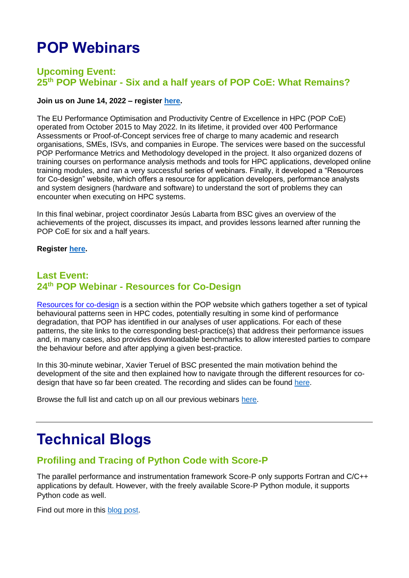# **POP Webinars**

#### **Upcoming Event: 25th POP Webinar - Six and a half years of POP CoE: What Remains?**

#### **Join us on June 14, 2022 – register [here.](https://register.gotowebinar.com/register/5545938173103182607?source=newsletter)**

The EU Performance Optimisation and Productivity Centre of Excellence in HPC (POP CoE) operated from October 2015 to May 2022. In its lifetime, it provided over 400 Performance Assessments or Proof-of-Concept services free of charge to many academic and research organisations, SMEs, ISVs, and companies in Europe. The services were based on the successful POP Performance Metrics and Methodology developed in the project. It also organized dozens of training courses on performance analysis methods and tools for HPC applications, developed online training modules, and ran a very successful series of webinars. Finally, it developed a "Resources for Co-design" website, which offers a resource for application developers, performance analysts and system designers (hardware and software) to understand the sort of problems they can encounter when executing on HPC systems.

In this final webinar, project coordinator Jesús Labarta from BSC gives an overview of the achievements of the project, discusses its impact, and provides lessons learned after running the POP CoE for six and a half years.

#### **Register [here.](https://register.gotowebinar.com/register/5545938173103182607?source=newsletter)**

#### **Last Event: 24th POP Webinar - Resources for Co-Design**

[Resources for co-design](https://co-design.pop-coe.eu/) is a section within the POP website which gathers together a set of typical behavioural patterns seen in HPC codes, potentially resulting in some kind of performance degradation, that POP has identified in our analyses of user applications. For each of these patterns, the site links to the corresponding best-practice(s) that address their performance issues and, in many cases, also provides downloadable benchmarks to allow interested parties to compare the behaviour before and after applying a given best-practice.

In this 30-minute webinar, Xavier Teruel of BSC presented the main motivation behind the development of the site and then explained how to navigate through the different resources for codesign that have so far been created. The recording and slides can be found [here.](https://pop-coe.eu/blog/24th-pop-webinar-resources-for-co-design)

Browse the full list and catch up on all our previous webinars [here.](https://pop-coe.eu/further-information/webinars)

## **Technical Blogs**

### **Profiling and Tracing of Python Code with Score-P**

The parallel performance and instrumentation framework Score-P only supports Fortran and C/C++ applications by default. However, with the freely available Score-P Python module, it supports Python code as well.

Find out more in this [blog post.](https://pop-coe.eu/blog/tool-time-profiling-and-tracing-of-python-code-with-score-p)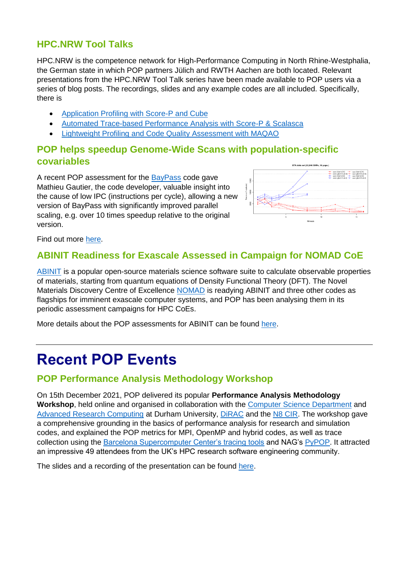### **HPC.NRW Tool Talks**

HPC.NRW is the competence network for High-Performance Computing in North Rhine-Westphalia, the German state in which POP partners Jülich and RWTH Aachen are both located. Relevant presentations from the HPC.NRW Tool Talk series have been made available to POP users via a series of blog posts. The recordings, slides and any example codes are all included. Specifically, there is

- [Application Profiling with Score-P and Cube](https://pop-coe.eu/blog/hpcnrw-tool-talk-application-profiling-with-score-p-and-cube)
- [Automated Trace-based Performance Analysis with Score-P & Scalasca](https://pop-coe.eu/blog/hpcnrw-tool-talk-automated-trace-based-performance-analysis-with-score-p-scalasca)
- [Lightweight Profiling and Code Quality Assessment with MAQAO](https://pop-coe.eu/blog/hpcnrw-tool-talk-lightweight-profiling-and-code-quality-assessment-with-maqao)

#### **POP helps speedup Genome-Wide Scans with population-specific covariables**

A recent POP assessment for the [BayPass](http://www1.montpellier.inra.fr/CBGP/software/baypass/download.html) code gave Mathieu Gautier, the code developer, valuable insight into the cause of low IPC (instructions per cycle), allowing a new version of BayPass with significantly improved parallel scaling, e.g. over 10 times speedup relative to the original version.



Find out more [here.](https://pop-coe.eu/blog/pop-helps-speedup-genome-wide-scans-with-population-specific-covariables)

### **ABINIT Readiness for Exascale Assessed in Campaign for NOMAD CoE**

[ABINIT](https://www.abinit.org/) is a popular open-source materials science software suite to calculate observable properties of materials, starting from quantum equations of Density Functional Theory (DFT). The Novel Materials Discovery Centre of Excellence [NOMAD](https://www.nomad-coe.eu/) is readying ABINIT and three other codes as flagships for imminent exascale computer systems, and POP has been analysing them in its periodic assessment campaigns for HPC CoEs.

More details about the POP assessments for ABINIT can be found [here.](https://pop-coe.eu/blog/abinit-readiness-for-exascale-assessed-in-campaign-for-nomad-coe)

## **Recent POP Events**

### **POP Performance Analysis Methodology Workshop**

On 15th December 2021, POP delivered its popular **Performance Analysis Methodology Workshop**, held online and organised in collaboration with the [Computer Science Department](https://www.dur.ac.uk/departments/academic/computer-science/) and [Advanced Research Computing](https://www.dur.ac.uk/arc/) at Durham University, [DiRAC](https://dirac.ac.uk/) and the [N8 CIR.](https://n8cir.org.uk/) The workshop gave a comprehensive grounding in the basics of performance analysis for research and simulation codes, and explained the POP metrics for MPI, OpenMP and hybrid codes, as well as trace collection using the [Barcelona Supercomputer Center's tracing tools](https://tools.bsc.es/) and NAG's [PyPOP.](https://numericalalgorithmsgroup.github.io/pypop/doc.html) It attracted an impressive 49 attendees from the UK's HPC research software engineering community.

The slides and a recording of the presentation can be found [here.](https://pop-coe.eu/blog/pop-performance-analysis-methodology-workshop)